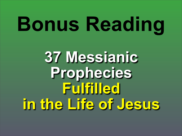# **Bonus Reading**

## **37 Messianic Prophecies Fulfilled in the Life of Jesus**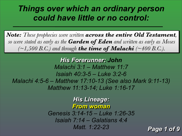### *Things over which an ordinary person could have little or no control:*

*His Forerunner: John Malachi 3:1 – Matthew 11:7 Isaiah 40:3-5 – Luke 3:2-6 Malachi 4:5-6 – Matthew 17:10-13 (See also Mark 9:11-13) Matthew 11:13-14; Luke 1:16-17*

*Note: These prophecies were written across the entire Old Testament, so were stated as early as the Garden of Eden and written as early as Moses*   $(\sim\!1,500 \text{ B.C.})$  and through **the time of Malachi** (~400 B.C.).

### *His Lineage: From woman*

*Genesis 3:14-15 – Luke 1:26-35 Isaiah 7:14 – Galatians 4:4 Matt. 1:22-23 Page 1 of 9*

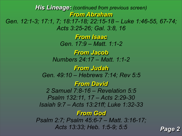*His Lineage: (continued from previous screen) From Abraham Gen. 12:1-3; 17:1, 7; 18:17-18; 22:15-18 – Luke 1:46-55, 67-74; Acts 3:25-26; Gal. 3:8, 16 From Isaac Gen. 17:9 – Matt. 1:1-2 From Jacob Numbers 24:17 – Matt. 1:1-2 From Judah Gen. 49:10 – Hebrews 7:14; Rev 5:5 From David 2 Samuel 7:8-16 – Revelation 5:5 Psalm 132:11, 17 – Acts 2:29-30 Isaiah 9:7 – Acts 13:21ff; Luke 1:32-33 From God Psalm 2:7; Psalm 45:6-7 – Matt. 3:16-17; Acts 13:33; Heb. 1:5-9; 5:5 Page 2*

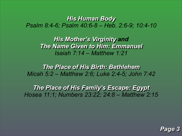### *His Human Body Psalm 8:4-6; Psalm 40:6-8 – Heb. 2:6-9; 10:4-10*

*His Mother's Virginity and The Name Given to Him: Emmanuel Isaiah 7:14 – Matthew 1:21*

*The Place of His Birth: Bethlehem Micah 5:2 – Matthew 2:6; Luke 2:4-5; John 7:42*

*The Place of His Family's Escape: Egypt Hosea 11:1; Numbers 23:22; 24:8 – Matthew 2:15*

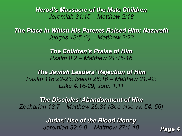*Herod's Massacre of the Male Children Jeremiah 31:15 – Matthew 2:18*

*The Place in Which His Parents Raised Him: Nazareth Judges 13:5 (?) – Matthew 2:23*

> *The Children's Praise of Him Psalm 8:2 – Matthew 21:15-16*

*The Jewish Leaders' Rejection of Him Psalm 118:22-23; Isaiah 28:16 – Matthew 21:42; Luke 4:16-29; John 1:11*

*The Disciples' Abandonment of Him Zechariah 13:7 – Matthew 26:31 (See also vv. 54, 56)*

> *Judas' Use of the Blood Money Jeremiah 32:6-9 – Matthew 27:1-10 Page 4*



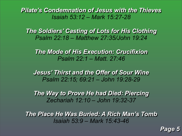*Pilate's Condemnation of Jesus with the Thieves Isaiah 53:12 – Mark 15:27-28*

*The Soldiers' Casting of Lots for His Clothing Psalm 22:18 – Matthew 27:35/John 19:24*

*The Mode of His Execution: Crucifixion Psalm 22:1 – Matt. 27:46*

*Jesus' Thirst and the Offer of Sour Wine Psalm 22:15; 69:21 – John 19:28-29*

*The Way to Prove He had Died: Piercing Zechariah 12:10 – John 19:32-37*

*The Place He Was Buried: A Rich Man's Tomb Isaiah 53:9 – Mark 15:43-46*

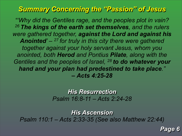### *Summary Concerning the "Passion" of Jesus*

*"'Why did the Gentiles rage, and the peoples plot in vain? <sup>26</sup>The kings of the earth set themselves, and the rulers were gathered together, against the Lord and against his Anointed' – 27 for truly in this city there were gathered together against your holy servant Jesus, whom you anointed, both Herod and Pontius Pilate, along with the Gentiles and the peoples of Israel, 28 to do whatever your hand and your plan had predestined to take place." – Acts 4:25-28*

> *His Resurrection Psalm 16:8-11 – Acts 2:24-28*

*His Ascension Psalm 110:1 – Acts 2:33-35 (See also Matthew 22:44)*

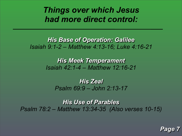### *Things over which Jesus had more direct control:*

### *His Base of Operation: Galilee Isaiah 9:1-2 – Matthew 4:13-16; Luke 4:16-21*

*His Meek Temperament Isaiah 42:1-4 – Matthew 12:16-21*

*His Zeal Psalm 69:9 – John 2:13-17*

*His Use of Parables Psalm 78:2 – Matthew 13:34-35 (Also verses 10-15)* 



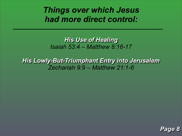### *Things over which Jesus had more direct control:*

*His Use of Healing Isaiah 53:4 – Matthew 8:16-17*

*His Lowly-But-Triumphant Entry into Jerusalem Zechariah 9:9 – Matthew 21:1-6*